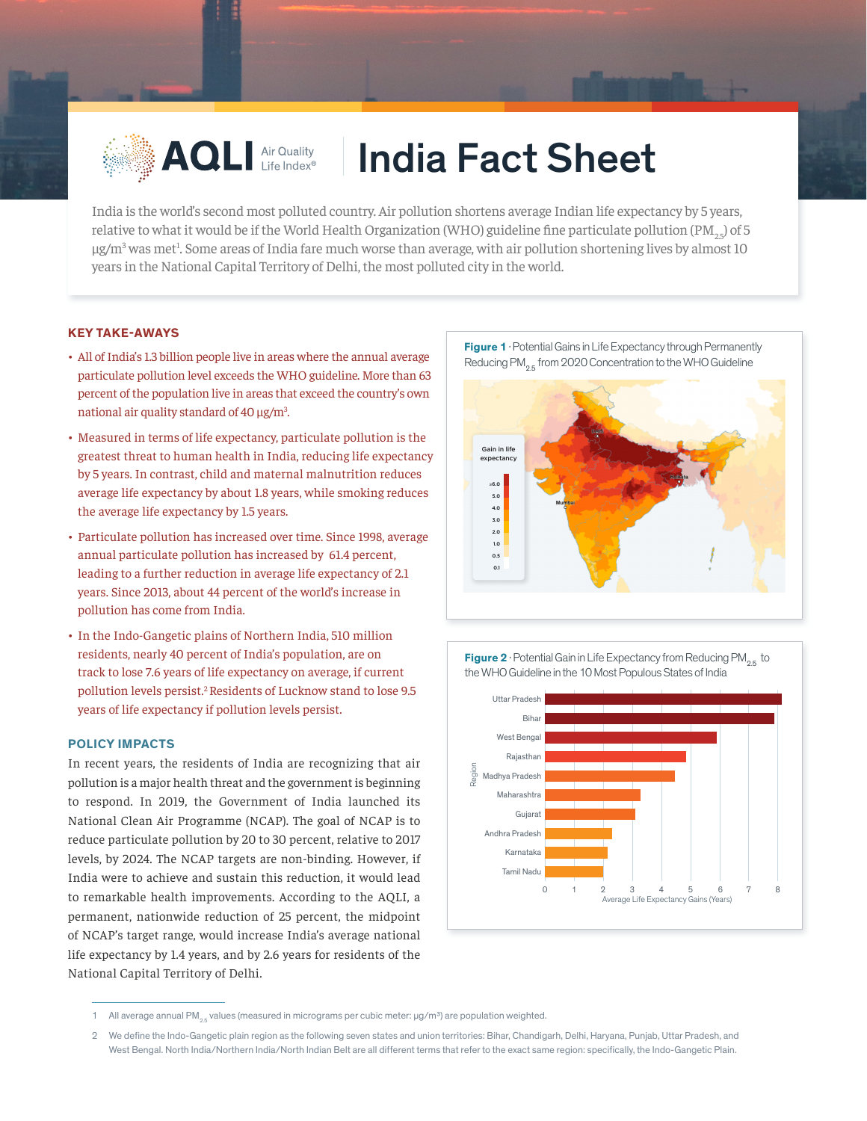

# **AQLI Air Quality | India Fact Sheet**

India is the world's second most polluted country. Air pollution shortens average Indian life expectancy by 5 years, relative to what it would be if the World Health Organization (WHO) guideline fine particulate pollution (PM<sub>3c</sub>) of 5 µg/m<sup>3</sup> was met<sup>1</sup>. Some areas of India fare much worse than average, with air pollution shortening lives by almost 10 years in the National Capital Territory of Delhi, the most polluted city in the world.2

## **KEY TAKE-AWAYS**

- All of India's 1.3 billion people live in areas where the annual average particulate pollution level exceeds the WHO guideline. More than 63 percent of the population live in areas that exceed the country's own national air quality standard of 40  $\mu$ g/m<sup>3</sup>. .
- Measured in terms of life expectancy, particulate pollution is the greatest threat to human health in India, reducing life expectancy by 5 years. In contrast, child and maternal malnutrition reduces average life expectancy by about 1.8 years, while smoking reduces the average life expectancy by 1.5 years.
- Particulate pollution has increased over time. Since 1998, average annual particulate pollution has increased by 61.4 percent, leading to a further reduction in average life expectancy of 2.1 years. Since 2013, about 44 percent of the world's increase in pollution has come from India.
- In the Indo-Gangetic plains of Northern India, 510 million residents, nearly 40 percent of India's population, are on track to lose 7.6 years of life expectancy on average, if current pollution levels persist.2 Residents of Lucknow stand to lose 9.5 years of life expectancy if pollution levels persist.

#### **POLICY IMPACTS**

In recent years, the residents of India are recognizing that air pollution is a major health threat and the government is beginning to respond. In 2019, the Government of India launched its National Clean Air Programme (NCAP). The goal of NCAP is to reduce particulate pollution by 20 to 30 percent, relative to 2017 levels, by 2024. The NCAP targets are non-binding. However, if India were to achieve and sustain this reduction, it would lead to remarkable health improvements. According to the AQLI, a permanent, nationwide reduction of 25 percent, the midpoint of NCAP's target range, would increase India's average national life expectancy by 1.4 years, and by 2.6 years for residents of the National Capital Territory of Delhi.







<sup>1</sup> All average annual PM<sub>os</sub> values (measured in micrograms per cubic meter: µg/m<sup>3</sup>) are population weighted.

<sup>2</sup> We define the Indo-Gangetic plain region as the following seven states and union territories: Bihar, Chandigarh, Delhi, Haryana, Punjab, Uttar Pradesh, and West Bengal. North India/Northern India/North Indian Belt are all different terms that referto the exact same region: specifically, the Indo-Gangetic Plain.